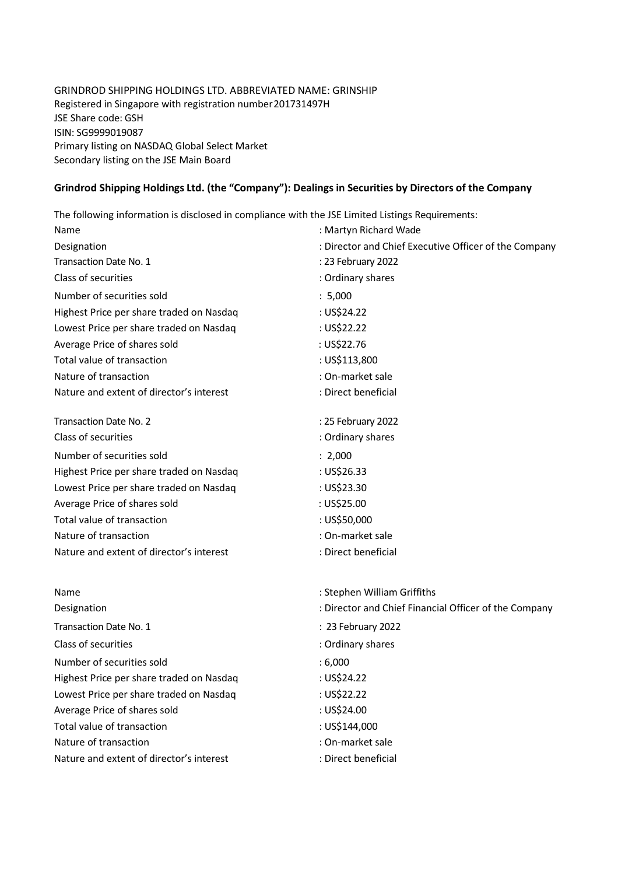## GRINDROD SHIPPING HOLDINGS LTD. ABBREVIATED NAME: GRINSHIP Registered in Singapore with registration number 201731497H JSE Share code: GSH ISIN: SG9999019087 Primary listing on NASDAQ Global Select Market Secondary listing on the JSE Main Board

## **Grindrod Shipping Holdings Ltd. (the "Company"): Dealings in Securities by Directors of the Company**

The following information is disclosed in compliance with the JSE Limited Listings Requirements:

| Name                                     | : Martyn Richard Wade                                 |
|------------------------------------------|-------------------------------------------------------|
| Designation                              | : Director and Chief Executive Officer of the Company |
| Transaction Date No. 1                   | : 23 February 2022                                    |
| Class of securities                      | : Ordinary shares                                     |
| Number of securities sold                | : 5,000                                               |
| Highest Price per share traded on Nasdaq | : US\$24.22                                           |
| Lowest Price per share traded on Nasdaq  | : US\$22.22                                           |
| Average Price of shares sold             | : US\$22.76                                           |
| Total value of transaction               | : US\$113,800                                         |
| Nature of transaction                    | : On-market sale                                      |
| Nature and extent of director's interest | : Direct beneficial                                   |
| Transaction Date No. 2                   | : 25 February 2022                                    |
| Class of securities                      | : Ordinary shares                                     |
| Number of securities sold                | : 2,000                                               |
| Highest Price per share traded on Nasdaq | : US\$26.33                                           |
| Lowest Price per share traded on Nasdaq  | : US\$23.30                                           |
| Average Price of shares sold             | : US\$25.00                                           |
| Total value of transaction               | : US\$50,000                                          |
| Nature of transaction                    | : On-market sale                                      |
| Nature and extent of director's interest | : Direct beneficial                                   |
| Name                                     | : Stephen William Griffiths                           |
| Designation                              | : Director and Chief Financial Officer of the Company |
| Transaction Date No. 1                   | : 23 February 2022                                    |
| Class of securities                      | : Ordinary shares                                     |
| Number of securities sold                | : 6,000                                               |
| Highest Price per share traded on Nasdaq | : US\$24.22                                           |
| Lowest Price per share traded on Nasdaq  | : US\$22.22                                           |
| Average Price of shares sold             | : US\$24.00                                           |
| Total value of transaction               | : US\$144,000                                         |
| Nature of transaction                    | : On-market sale                                      |
| Nature and extent of director's interest | : Direct beneficial                                   |